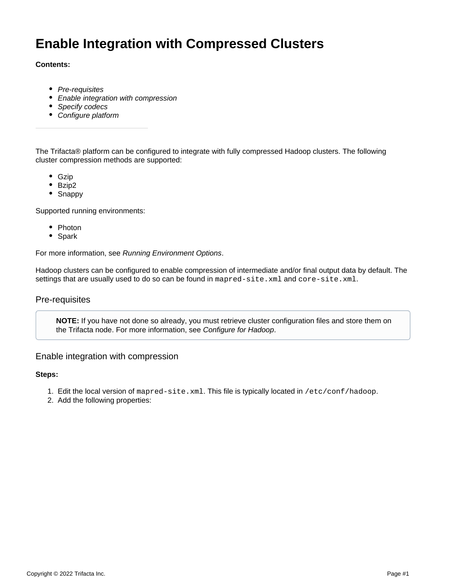# **Enable Integration with Compressed Clusters**

## **Contents:**

- [Pre-requisites](#page-0-0)
- [Enable integration with compression](#page-0-1)
- [Specify codecs](#page-1-0)
- [Configure platform](#page-1-1)

The Trifacta® platform can be configured to integrate with fully compressed Hadoop clusters. The following cluster compression methods are supported:

- Gzip
- Bzip2
- Snappy

Supported running environments:

- Photon
- Spark

For more information, see [Running Environment Options](https://docs.trifacta.com/display/r050/Running+Environment+Options).

Hadoop clusters can be configured to enable compression of intermediate and/or final output data by default. The settings that are usually used to do so can be found in mapred-site.xml and core-site.xml.

# <span id="page-0-0"></span>Pre-requisites

**NOTE:** If you have not done so already, you must retrieve cluster configuration files and store them on the Trifacta node. For more information, see [Configure for Hadoop](https://docs.trifacta.com/display/r050/Configure+for+Hadoop).

## <span id="page-0-1"></span>Enable integration with compression

#### **Steps:**

- 1. Edit the local version of mapred-site.xml. This file is typically located in /etc/conf/hadoop.
- 2. Add the following properties: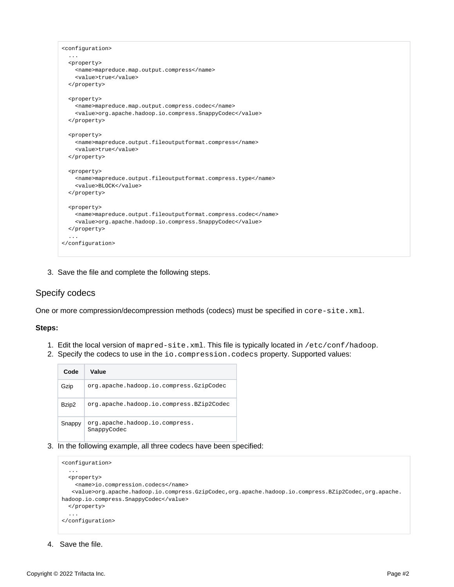```
<configuration>
   ...
  <property>
    <name>mapreduce.map.output.compress</name>
    <value>true</value>
  </property>
  <property>
    <name>mapreduce.map.output.compress.codec</name>
     <value>org.apache.hadoop.io.compress.SnappyCodec</value>
  </property>
  <property>
    <name>mapreduce.output.fileoutputformat.compress</name>
    <value>true</value>
  </property>
  <property>
    <name>mapreduce.output.fileoutputformat.compress.type</name>
    <value>BLOCK</value>
  </property>
  <property>
    <name>mapreduce.output.fileoutputformat.compress.codec</name>
    <value>org.apache.hadoop.io.compress.SnappyCodec</value>
  </property>
   ...
</configuration>
```
3. Save the file and complete the following steps.

# <span id="page-1-0"></span>Specify codecs

One or more compression/decompression methods (codecs) must be specified in core-site.xml.

#### **Steps:**

- 1. Edit the local version of mapred-site.xml. This file is typically located in /etc/conf/hadoop.
- 2. Specify the codecs to use in the io.compression.codecs property. Supported values:

| Code   | Value                                         |
|--------|-----------------------------------------------|
| Gzip   | org.apache.hadoop.io.compress.GzipCodec       |
| Bzip2  | org.apache.hadoop.io.compress.BZip2Codec      |
| Snappy | org.apache.hadoop.io.compress.<br>SnappyCodec |

3. In the following example, all three codecs have been specified:

```
<configuration>
   ...
   <property>
     <name>io.compression.codecs</name>
    <value>org.apache.hadoop.io.compress.GzipCodec,org.apache.hadoop.io.compress.BZip2Codec,org.apache.
hadoop.io.compress.SnappyCodec</value>
   </property>
   ...
</configuration>
```
<span id="page-1-1"></span>4. Save the file.